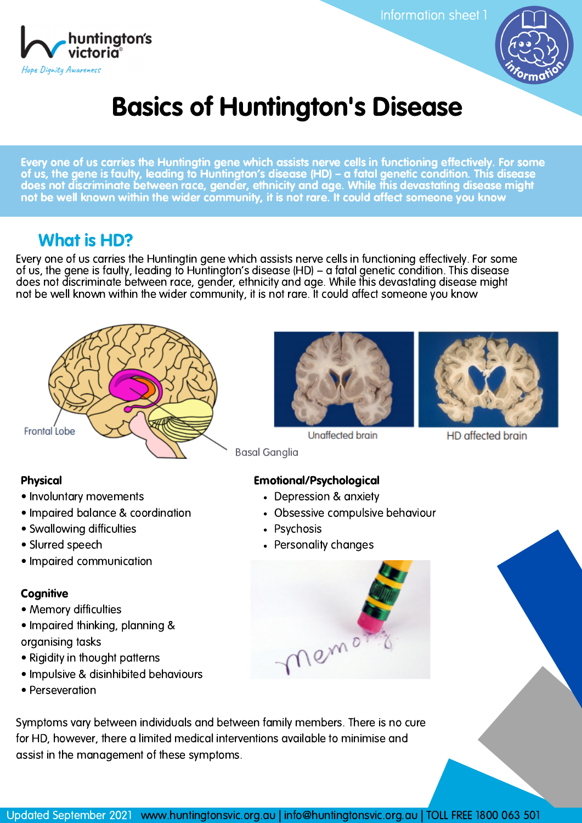

Information sheet 1



# Basics of Huntington's Disease

Every one of us carries the Huntingtin gene which assists nerve cells in functioning effectively. For some of us, the gene is faulty, leading to Huntington's disease (HD) – a fatal genetic condition. This disease does not discriminate between race, gender, ethnicity and age. While this devastating disease might not be well known within the wider community, it is not rare. It could affect someone you know

### What is HD?

Every one of us carries the Huntingtin gene which assists nerve cells in functioning effectively. For some of us, the gene is faulty, leading to Huntington's disease (HD) – a fatal genetic condition. This disease does not discriminate between race, gender, ethnicity and age. While this devastating disease might not be well known within the wider community, it is not rare. It could affect someone you know



#### Physical

- Involuntary movements
- Impaired balance & coordination
- Swallowing difficulties
- Slurred speech
- Impaired communication

#### **Cognitive**

- Memory difficulties
- Impaired thinking, planning & organising tasks
- Rigidity in thought patterns
- Impulsive & disinhibited behaviours
- Perseveration





**Unaffected brain** 

HD affected brain

Basal Ganglia

#### Emotional/Psychological

- Depression & anxiety
- Obsessive compulsive behaviour
- Psychosis
- Personality changes